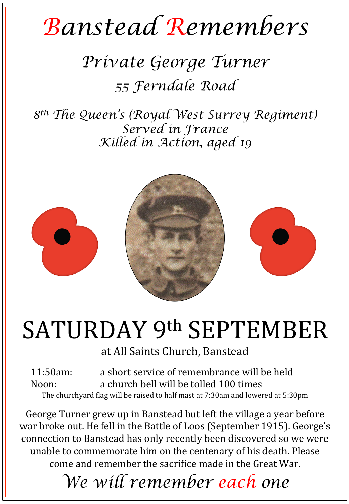## *Banstead Remembers*

## *Private George Turner 55 Ferndale Road*

*8th The Queen's (Royal West Surrey Regiment) Served in France Killed in Action, aged 19* 



## SATURDAY 9th SEPTEMBER

at All Saints Church, Banstead

11:50am: a short service of remembrance will be held Noon: a church bell will be tolled 100 times The churchyard flag will be raised to half mast at 7:30am and lowered at 5:30pm

George Turner grew up in Banstead but left the village a year before war broke out. He fell in the Battle of Loos (September 1915). George's connection to Banstead has only recently been discovered so we were unable to commemorate him on the centenary of his death. Please come and remember the sacrifice made in the Great War.

*We will remember each one*